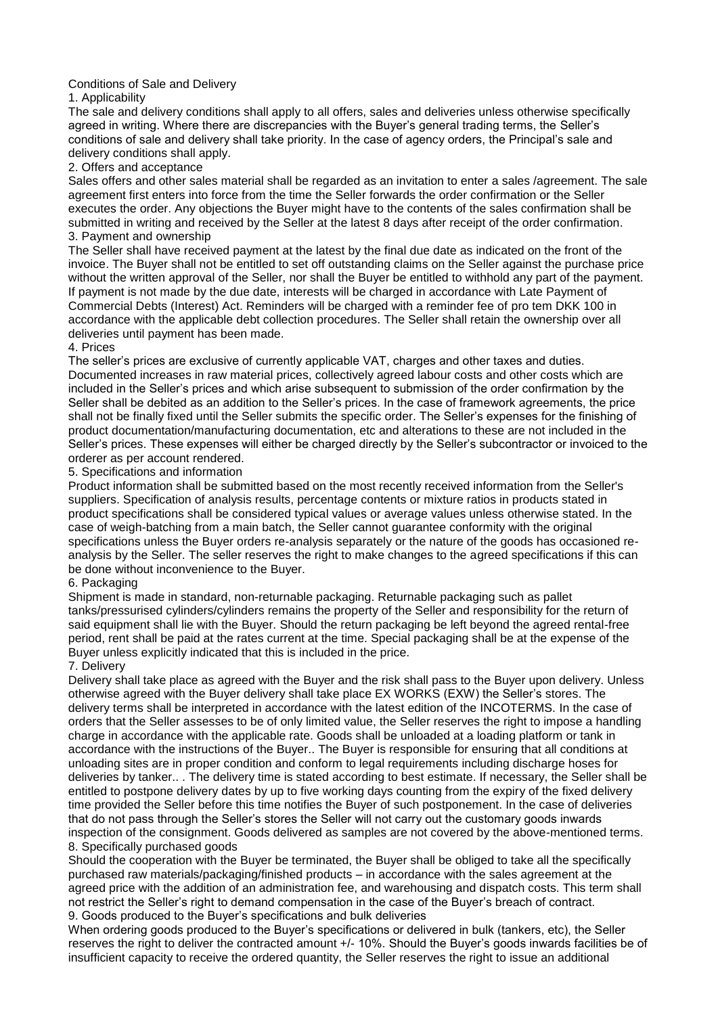# Conditions of Sale and Delivery

## 1. Applicability

The sale and delivery conditions shall apply to all offers, sales and deliveries unless otherwise specifically agreed in writing. Where there are discrepancies with the Buyer's general trading terms, the Seller's conditions of sale and delivery shall take priority. In the case of agency orders, the Principal's sale and delivery conditions shall apply.

# 2. Offers and acceptance

Sales offers and other sales material shall be regarded as an invitation to enter a sales /agreement. The sale agreement first enters into force from the time the Seller forwards the order confirmation or the Seller executes the order. Any objections the Buyer might have to the contents of the sales confirmation shall be submitted in writing and received by the Seller at the latest 8 days after receipt of the order confirmation. 3. Payment and ownership

The Seller shall have received payment at the latest by the final due date as indicated on the front of the invoice. The Buyer shall not be entitled to set off outstanding claims on the Seller against the purchase price without the written approval of the Seller, nor shall the Buyer be entitled to withhold any part of the payment. If payment is not made by the due date, interests will be charged in accordance with Late Payment of Commercial Debts (Interest) Act. Reminders will be charged with a reminder fee of pro tem DKK 100 in accordance with the applicable debt collection procedures. The Seller shall retain the ownership over all deliveries until payment has been made.

### 4. Prices

The seller's prices are exclusive of currently applicable VAT, charges and other taxes and duties. Documented increases in raw material prices, collectively agreed labour costs and other costs which are included in the Seller's prices and which arise subsequent to submission of the order confirmation by the Seller shall be debited as an addition to the Seller's prices. In the case of framework agreements, the price shall not be finally fixed until the Seller submits the specific order. The Seller's expenses for the finishing of product documentation/manufacturing documentation, etc and alterations to these are not included in the Seller's prices. These expenses will either be charged directly by the Seller's subcontractor or invoiced to the orderer as per account rendered.

### 5. Specifications and information

Product information shall be submitted based on the most recently received information from the Seller's suppliers. Specification of analysis results, percentage contents or mixture ratios in products stated in product specifications shall be considered typical values or average values unless otherwise stated. In the case of weigh-batching from a main batch, the Seller cannot guarantee conformity with the original specifications unless the Buyer orders re-analysis separately or the nature of the goods has occasioned reanalysis by the Seller. The seller reserves the right to make changes to the agreed specifications if this can be done without inconvenience to the Buyer.

## 6. Packaging

Shipment is made in standard, non-returnable packaging. Returnable packaging such as pallet tanks/pressurised cylinders/cylinders remains the property of the Seller and responsibility for the return of said equipment shall lie with the Buyer. Should the return packaging be left beyond the agreed rental-free period, rent shall be paid at the rates current at the time. Special packaging shall be at the expense of the Buyer unless explicitly indicated that this is included in the price.

### 7. Delivery

Delivery shall take place as agreed with the Buyer and the risk shall pass to the Buyer upon delivery. Unless otherwise agreed with the Buyer delivery shall take place EX WORKS (EXW) the Seller's stores. The delivery terms shall be interpreted in accordance with the latest edition of the INCOTERMS. In the case of orders that the Seller assesses to be of only limited value, the Seller reserves the right to impose a handling charge in accordance with the applicable rate. Goods shall be unloaded at a loading platform or tank in accordance with the instructions of the Buyer.. The Buyer is responsible for ensuring that all conditions at unloading sites are in proper condition and conform to legal requirements including discharge hoses for deliveries by tanker.. . The delivery time is stated according to best estimate. If necessary, the Seller shall be entitled to postpone delivery dates by up to five working days counting from the expiry of the fixed delivery time provided the Seller before this time notifies the Buyer of such postponement. In the case of deliveries that do not pass through the Seller's stores the Seller will not carry out the customary goods inwards inspection of the consignment. Goods delivered as samples are not covered by the above-mentioned terms. 8. Specifically purchased goods

Should the cooperation with the Buyer be terminated, the Buyer shall be obliged to take all the specifically purchased raw materials/packaging/finished products – in accordance with the sales agreement at the agreed price with the addition of an administration fee, and warehousing and dispatch costs. This term shall not restrict the Seller's right to demand compensation in the case of the Buyer's breach of contract. 9. Goods produced to the Buyer's specifications and bulk deliveries

When ordering goods produced to the Buyer's specifications or delivered in bulk (tankers, etc), the Seller reserves the right to deliver the contracted amount +/- 10%. Should the Buyer's goods inwards facilities be of insufficient capacity to receive the ordered quantity, the Seller reserves the right to issue an additional